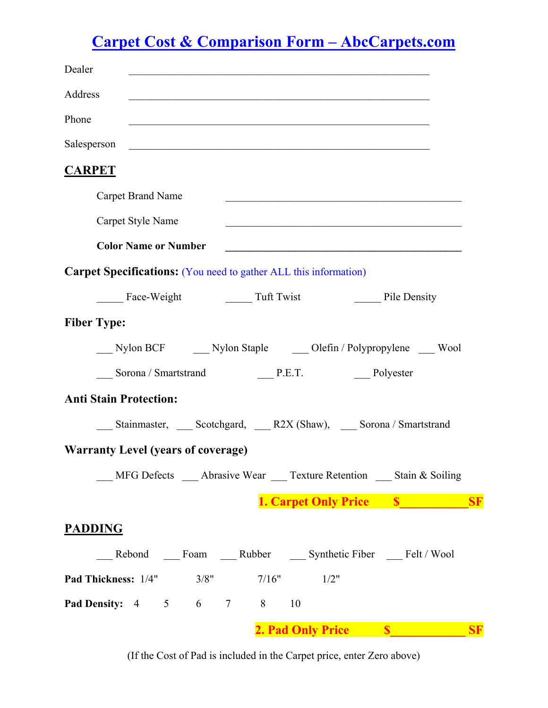## **Carpet Cost & Comparison Form – AbcCarpets.com**

| Dealer                                                                                                                              |
|-------------------------------------------------------------------------------------------------------------------------------------|
| Address<br><u> 1989 - Johann John Stein, marwolaeth a breninn a breninn a breninn a breninn a breninn a breninn a breninn a</u>     |
| Phone                                                                                                                               |
| Salesperson<br><u> 1989 - Jan James James James James James James James James James James James James James James James James J</u> |
| <b>CARPET</b>                                                                                                                       |
| <b>Carpet Brand Name</b>                                                                                                            |
| Carpet Style Name                                                                                                                   |
| <b>Color Name or Number</b><br><u> 1980 - Johann Barnett, fransk politik (f. 1980)</u>                                              |
| <b>Carpet Specifications:</b> (You need to gather ALL this information)                                                             |
| Face-Weight Tuft Twist<br><b>Pile Density</b>                                                                                       |
| <b>Fiber Type:</b>                                                                                                                  |
| Nylon BCF ________ Nylon Staple _________ Olefin / Polypropylene _____ Wool                                                         |
| Sorona / Smartstrand P.E.T. Polyester                                                                                               |
| <b>Anti Stain Protection:</b>                                                                                                       |
| __ Stainmaster, __ Scotchgard, __ R2X (Shaw), __ Sorona / Smartstrand                                                               |
| <b>Warranty Level (years of coverage)</b>                                                                                           |
| MFG Defects ____ Abrasive Wear ____ Texture Retention ____ Stain & Soiling                                                          |
| 1. Carpet Only Price \$ SF                                                                                                          |
| <b>PADDING</b>                                                                                                                      |
|                                                                                                                                     |
| ____ Rebond ______ Foam ______ Rubber _______ Synthetic Fiber ______ Felt / Wool                                                    |
| <b>Pad Thickness:</b> 1/4" 3/8" 7/16" 1/2"                                                                                          |
| <b>Pad Density:</b> 4 5 6 7 8 10                                                                                                    |
| 2. Pad Only Price 5<br><b>SF</b>                                                                                                    |

(If the Cost of Pad is included in the Carpet price, enter Zero above)